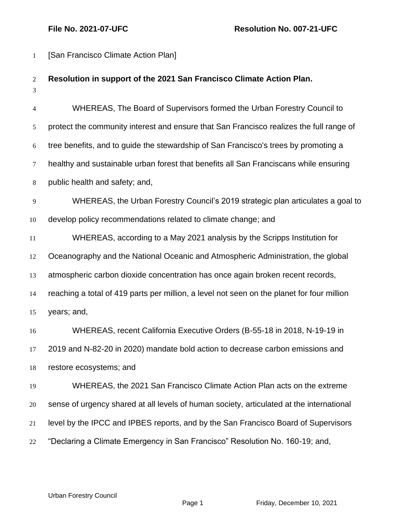| $\mathbf{1}$        | [San Francisco Climate Action Plan]                                                        |  |  |
|---------------------|--------------------------------------------------------------------------------------------|--|--|
| $\overline{2}$<br>3 | Resolution in support of the 2021 San Francisco Climate Action Plan.                       |  |  |
| $\overline{4}$      | WHEREAS, The Board of Supervisors formed the Urban Forestry Council to                     |  |  |
| 5                   | protect the community interest and ensure that San Francisco realizes the full range of    |  |  |
| 6                   | tree benefits, and to guide the stewardship of San Francisco's trees by promoting a        |  |  |
| $\tau$              | healthy and sustainable urban forest that benefits all San Franciscans while ensuring      |  |  |
| $\,8\,$             | public health and safety; and,                                                             |  |  |
| $\overline{9}$      | WHEREAS, the Urban Forestry Council's 2019 strategic plan articulates a goal to            |  |  |
| 10                  | develop policy recommendations related to climate change; and                              |  |  |
| 11                  | WHEREAS, according to a May 2021 analysis by the Scripps Institution for                   |  |  |
| 12                  | Oceanography and the National Oceanic and Atmospheric Administration, the global           |  |  |
| 13                  | atmospheric carbon dioxide concentration has once again broken recent records,             |  |  |
| 14                  | reaching a total of 419 parts per million, a level not seen on the planet for four million |  |  |
| 15                  | years; and,                                                                                |  |  |
| 16                  | WHEREAS, recent California Executive Orders (B-55-18 in 2018, N-19-19 in                   |  |  |
| 17                  | 2019 and N-82-20 in 2020) mandate bold action to decrease carbon emissions and             |  |  |
| 18                  | restore ecosystems; and                                                                    |  |  |
| 19                  | WHEREAS, the 2021 San Francisco Climate Action Plan acts on the extreme                    |  |  |
| 20                  | sense of urgency shared at all levels of human society, articulated at the international   |  |  |
| 21                  | level by the IPCC and IPBES reports, and by the San Francisco Board of Supervisors         |  |  |
| 22                  | "Declaring a Climate Emergency in San Francisco" Resolution No. 160-19; and,               |  |  |

Urban Forestry Council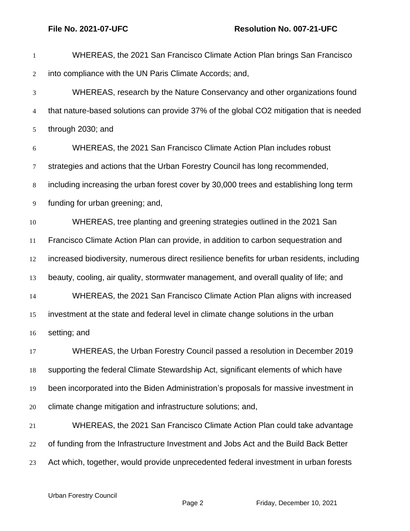| 1              | WHEREAS, the 2021 San Francisco Climate Action Plan brings San Francisco                   |
|----------------|--------------------------------------------------------------------------------------------|
| $\mathbf{2}$   | into compliance with the UN Paris Climate Accords; and,                                    |
| 3              | WHEREAS, research by the Nature Conservancy and other organizations found                  |
| $\overline{4}$ | that nature-based solutions can provide 37% of the global CO2 mitigation that is needed    |
| 5              | through 2030; and                                                                          |
| $\sqrt{6}$     | WHEREAS, the 2021 San Francisco Climate Action Plan includes robust                        |
| $\tau$         | strategies and actions that the Urban Forestry Council has long recommended,               |
| $\,8\,$        | including increasing the urban forest cover by 30,000 trees and establishing long term     |
| 9              | funding for urban greening; and,                                                           |
| 10             | WHEREAS, tree planting and greening strategies outlined in the 2021 San                    |
| 11             | Francisco Climate Action Plan can provide, in addition to carbon sequestration and         |
| 12             | increased biodiversity, numerous direct resilience benefits for urban residents, including |
| 13             | beauty, cooling, air quality, stormwater management, and overall quality of life; and      |
| 14             | WHEREAS, the 2021 San Francisco Climate Action Plan aligns with increased                  |
| 15             | investment at the state and federal level in climate change solutions in the urban         |
| 16             | setting; and                                                                               |
| 17             | WHEREAS, the Urban Forestry Council passed a resolution in December 2019                   |
| 18             | supporting the federal Climate Stewardship Act, significant elements of which have         |
| 19             | been incorporated into the Biden Administration's proposals for massive investment in      |
| 20             | climate change mitigation and infrastructure solutions; and,                               |
| 21             | WHEREAS, the 2021 San Francisco Climate Action Plan could take advantage                   |
| 22             | of funding from the Infrastructure Investment and Jobs Act and the Build Back Better       |
| 23             | Act which, together, would provide unprecedented federal investment in urban forests       |